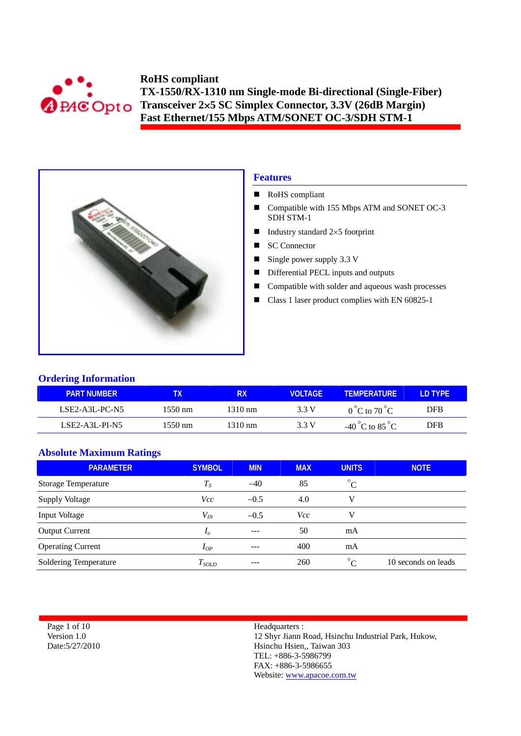



## **Features**

- RoHS compliant
- Compatible with 155 Mbps ATM and SONET OC-3 SDH STM-1
- Industry standard  $2 \times 5$  footprint
- SC Connector
- Single power supply  $3.3 \text{ V}$
- Differential PECL inputs and outputs
- Compatible with solder and aqueous wash processes
- Class 1 laser product complies with EN 60825-1

### **Ordering Information**

| <b>PART NUMBER</b> |         | RX      | VOI TAGF | <b>TEMPERATURE</b>                  | D TYPE     |
|--------------------|---------|---------|----------|-------------------------------------|------------|
| LSE2-A3L-PC-N5     | 1550 nm | 1310 nm | 3.3 V    | $0^{\circ}$ C to $70^{\circ}$ C     | <b>DFB</b> |
| $LSE2-A3L-PI-NS$   | 1550 nm | 1310 nm | 3.3 V    | -40 $^{\circ}$ C to 85 $^{\circ}$ C | DFB        |

### **Absolute Maximum Ratings**

| <b>PARAMETER</b>           | <b>SYMBOL</b> | <b>MIN</b> | <b>MAX</b> | <b>UNITS</b> | <b>NOTE</b>         |
|----------------------------|---------------|------------|------------|--------------|---------------------|
| <b>Storage Temperature</b> | $T_S$         | $-40$      | 85         | $^{\circ}C$  |                     |
| <b>Supply Voltage</b>      | Vcc           | $-0.5$     | 4.0        | v            |                     |
| Input Voltage              | $V_{I\!N}$    | $-0.5$     | <i>Vcc</i> | v            |                     |
| <b>Output Current</b>      | $I_{\theta}$  | ---        | 50         | mA           |                     |
| <b>Operating Current</b>   | $I_{OP}$      |            | 400        | mA           |                     |
| Soldering Temperature      | $T_{SOLD}$    | ---        | 260        | $\circ$      | 10 seconds on leads |

| Page 1 of 10    |
|-----------------|
| Version 1.0     |
| Date: 5/27/2010 |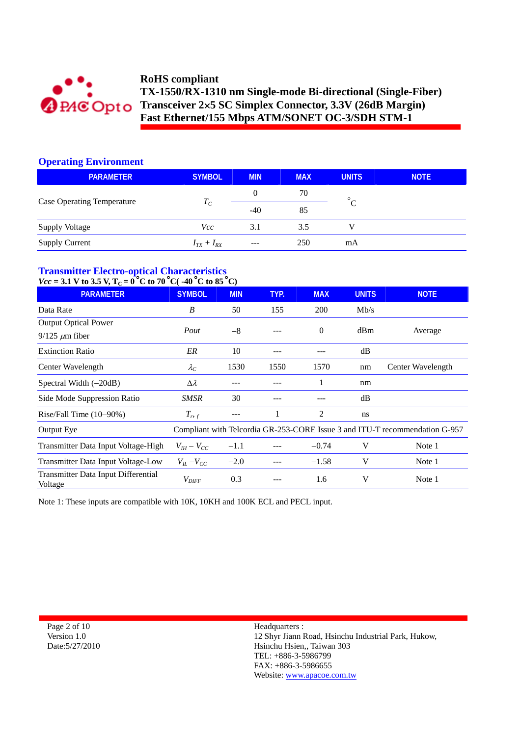

### **Operating Environment**

| <b>PARAMETER</b>                  | <b>SYMBOL</b>     | <b>MIN</b> | <b>MAX</b> | <b>UNITS</b> | <b>NOTE</b> |
|-----------------------------------|-------------------|------------|------------|--------------|-------------|
|                                   |                   | 0          | 70         | $\circ$      |             |
| <b>Case Operating Temperature</b> | $T_C$             | $-40$      | 85         | $\cap$       |             |
| <b>Supply Voltage</b>             | Vcc               | 3.1        | 3.5        |              |             |
| <b>Supply Current</b>             | $I_{TX} + I_{RX}$ | $---$      | 250        | mA           |             |

# **Transmitter Electro-optical Characteristics**

# $Vcc = 3.1$  V to 3.5 V,  $T_c = 0^\circ$ C to 70 °C( $-40^\circ$ C to 85 °C)

| <b>PARAMETER</b>                                     | <b>SYMBOL</b>       | <b>MIN</b> | TYP. | <b>MAX</b> | <b>UNITS</b> | <b>NOTE</b>                                                                 |
|------------------------------------------------------|---------------------|------------|------|------------|--------------|-----------------------------------------------------------------------------|
| Data Rate                                            | B                   | 50         | 155  | 200        | Mb/s         |                                                                             |
| <b>Output Optical Power</b><br>$9/125 \ \mu m$ fiber | Pout                | $-8$       |      | $\Omega$   | dBm          | Average                                                                     |
| <b>Extinction Ratio</b>                              | ER                  | 10         |      |            | dB           |                                                                             |
| Center Wavelength                                    | $\lambda_C$         | 1530       | 1550 | 1570       | nm           | Center Wavelength                                                           |
| Spectral Width $(-20dB)$                             | $\Delta \lambda$    |            |      |            | nm           |                                                                             |
| Side Mode Suppression Ratio                          | SMSR                | 30         |      |            | dB           |                                                                             |
| Rise/Fall Time $(10-90%)$                            | $T_{r,f}$           | ---        |      | 2          | ns           |                                                                             |
| Output Eye                                           |                     |            |      |            |              | Compliant with Telcordia GR-253-CORE Issue 3 and ITU-T recommendation G-957 |
| Transmitter Data Input Voltage-High                  | $V_{IH} - V_{CC}$   | $-1.1$     |      | $-0.74$    | V            | Note 1                                                                      |
| Transmitter Data Input Voltage-Low                   | $V_{IL} - V_{CC}$   | $-2.0$     |      | $-1.58$    | V            | Note 1                                                                      |
| Transmitter Data Input Differential<br>Voltage       | $V_{\mathit{DIFF}}$ | 0.3        |      | 1.6        | V            | Note 1                                                                      |

Note 1: These inputs are compatible with 10K, 10KH and 100K ECL and PECL input.

Page 2 of 10 Version 1.0 Date:5/27/2010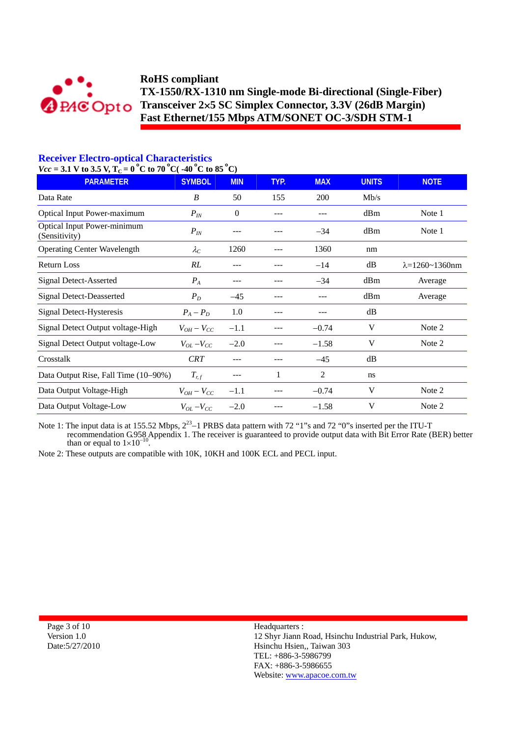

# **Receiver Electro-optical Characteristics**

 $Vcc = 3.1$  V to 3.5 V,  $T_c = 0$  °C to 70 °C( $-40$  °C to 85 °C)

| <b>PARAMETER</b>                                    | <b>SYMBOL</b>     | <b>MIN</b> | TYP. | <b>MAX</b> | <b>UNITS</b> | <b>NOTE</b>                |
|-----------------------------------------------------|-------------------|------------|------|------------|--------------|----------------------------|
| Data Rate                                           | B                 | 50         | 155  | 200        | Mb/s         |                            |
| Optical Input Power-maximum                         | $P_{IN}$          | $\theta$   |      |            | dBm          | Note 1                     |
| <b>Optical Input Power-minimum</b><br>(Sensitivity) | $P_{IN}$          |            |      | $-34$      | dBm          | Note 1                     |
| <b>Operating Center Wavelength</b>                  | $\lambda_C$       | 1260       |      | 1360       | nm           |                            |
| <b>Return Loss</b>                                  | RL                | ---        |      | $-14$      | dB           | $\lambda = 1260 - 1360$ nm |
| <b>Signal Detect-Asserted</b>                       | $P_A$             | ---        |      | $-34$      | dBm          | Average                    |
| <b>Signal Detect-Deasserted</b>                     | $P_D$             | $-45$      |      | ---        | dBm          | Average                    |
| Signal Detect-Hysteresis                            | $P_A - P_D$       | 1.0        |      |            | dB           |                            |
| Signal Detect Output voltage-High                   | $V_{OH}-V_{CC}$   | $-1.1$     |      | $-0.74$    | V            | Note 2                     |
| Signal Detect Output voltage-Low                    | $V_{OL} - V_{CC}$ | $-2.0$     |      | $-1.58$    | V            | Note 2                     |
| Crosstalk                                           | <b>CRT</b>        | ---        |      | $-45$      | dB           |                            |
| Data Output Rise, Fall Time (10–90%)                | $T_{r,f}$         |            | 1    | 2          | ns           |                            |
| Data Output Voltage-High                            | $V_{OH} - V_{CC}$ | $-1.1$     |      | $-0.74$    | V            | Note 2                     |
| Data Output Voltage-Low                             | $V_{OL} - V_{CC}$ | $-2.0$     |      | $-1.58$    | V            | Note 2                     |

Note 1: The input data is at 155.52 Mbps,  $2^{23}$ –1 PRBS data pattern with 72 "1"s and 72 "0"s inserted per the ITU-T recommendation G.958 Appendix 1. The receiver is guaranteed to provide output data with Bit Error Rate (BER) better than or equal to  $1\times10^{-10}$ .

Note 2: These outputs are compatible with 10K, 10KH and 100K ECL and PECL input.

Page 3 of 10 Version 1.0 Date:5/27/2010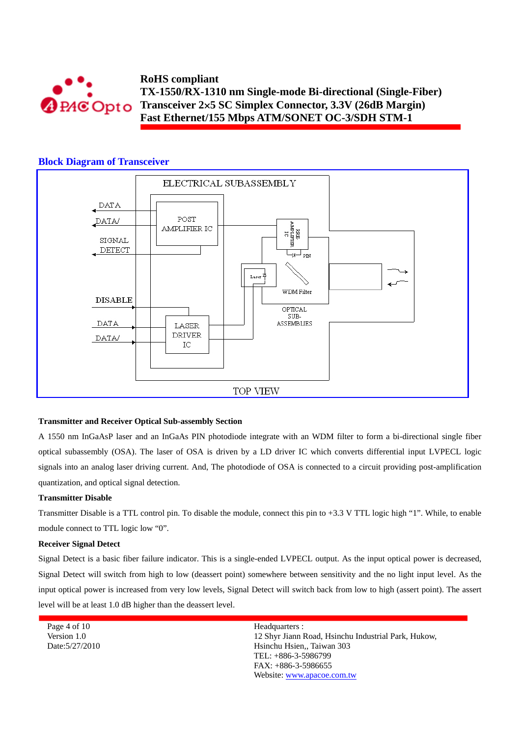

### **Block Diagram of Transceiver**



#### **Transmitter and Receiver Optical Sub-assembly Section**

A 1550 nm InGaAsP laser and an InGaAs PIN photodiode integrate with an WDM filter to form a bi-directional single fiber optical subassembly (OSA). The laser of OSA is driven by a LD driver IC which converts differential input LVPECL logic signals into an analog laser driving current. And, The photodiode of OSA is connected to a circuit providing post-amplification quantization, and optical signal detection.

#### **Transmitter Disable**

Transmitter Disable is a TTL control pin. To disable the module, connect this pin to +3.3 V TTL logic high "1". While, to enable module connect to TTL logic low "0".

#### **Receiver Signal Detect**

Signal Detect is a basic fiber failure indicator. This is a single-ended LVPECL output. As the input optical power is decreased, Signal Detect will switch from high to low (deassert point) somewhere between sensitivity and the no light input level. As the input optical power is increased from very low levels, Signal Detect will switch back from low to high (assert point). The assert level will be at least 1.0 dB higher than the deassert level.

Page 4 of 10 Version 1.0 Date:5/27/2010 Headquarters :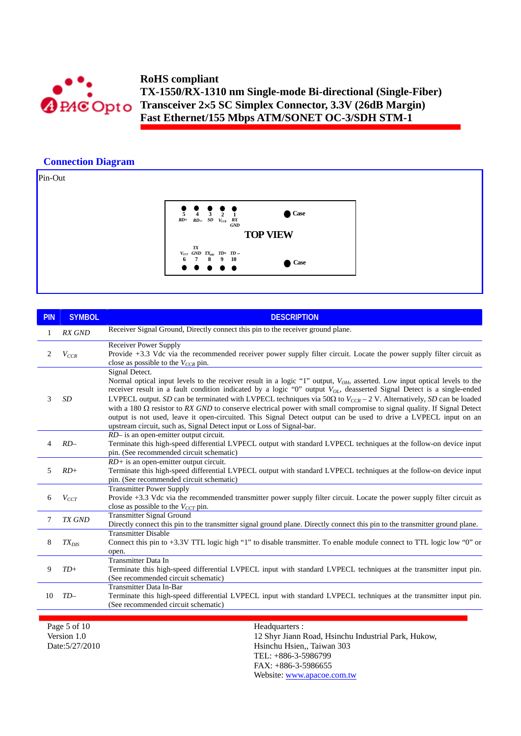

## **Connection Diagram**

Pin-Out



| <b>PIN</b> | <b>SYMBOL</b> | <b>DESCRIPTION</b>                                                                                                                                                                                                                                                                                                                                                                                                                                                                                                                                                                                                                                                                                                                             |
|------------|---------------|------------------------------------------------------------------------------------------------------------------------------------------------------------------------------------------------------------------------------------------------------------------------------------------------------------------------------------------------------------------------------------------------------------------------------------------------------------------------------------------------------------------------------------------------------------------------------------------------------------------------------------------------------------------------------------------------------------------------------------------------|
| 1          | <b>RX GND</b> | Receiver Signal Ground, Directly connect this pin to the receiver ground plane.                                                                                                                                                                                                                                                                                                                                                                                                                                                                                                                                                                                                                                                                |
| 2          | $V_{CCR}$     | <b>Receiver Power Supply</b><br>Provide +3.3 Vdc via the recommended receiver power supply filter circuit. Locate the power supply filter circuit as<br>close as possible to the $V_{CCR}$ pin.                                                                                                                                                                                                                                                                                                                                                                                                                                                                                                                                                |
| 3          | <b>SD</b>     | Signal Detect.<br>Normal optical input levels to the receiver result in a logic "1" output, $V_{OH}$ , asserted. Low input optical levels to the<br>receiver result in a fault condition indicated by a logic "0" output $V_{OL}$ , deasserted Signal Detect is a single-ended<br>LVPECL output. SD can be terminated with LVPECL techniques via 50 $\Omega$ to $V_{CCR}$ – 2 V. Alternatively, SD can be loaded<br>with a 180 $\Omega$ resistor to RX GND to conserve electrical power with small compromise to signal quality. If Signal Detect<br>output is not used, leave it open-circuited. This Signal Detect output can be used to drive a LVPECL input on an<br>upstream circuit, such as, Signal Detect input or Loss of Signal-bar. |
| 4          | $RD-$         | RD- is an open-emitter output circuit.<br>Terminate this high-speed differential LVPECL output with standard LVPECL techniques at the follow-on device input<br>pin. (See recommended circuit schematic)                                                                                                                                                                                                                                                                                                                                                                                                                                                                                                                                       |
| 5          | $RD+$         | $RD$ + is an open-emitter output circuit.<br>Terminate this high-speed differential LVPECL output with standard LVPECL techniques at the follow-on device input<br>pin. (See recommended circuit schematic)                                                                                                                                                                                                                                                                                                                                                                                                                                                                                                                                    |
| 6          | $V_{CCT}$     | <b>Transmitter Power Supply</b><br>Provide +3.3 Vdc via the recommended transmitter power supply filter circuit. Locate the power supply filter circuit as<br>close as possible to the $V_{CCT}$ pin.                                                                                                                                                                                                                                                                                                                                                                                                                                                                                                                                          |
| 7          | <b>TX GND</b> | <b>Transmitter Signal Ground</b><br>Directly connect this pin to the transmitter signal ground plane. Directly connect this pin to the transmitter ground plane.                                                                                                                                                                                                                                                                                                                                                                                                                                                                                                                                                                               |
| 8          | $TX_{DIS}$    | <b>Transmitter Disable</b><br>Connect this pin to +3.3V TTL logic high "1" to disable transmitter. To enable module connect to TTL logic low "0" or<br>open.                                                                                                                                                                                                                                                                                                                                                                                                                                                                                                                                                                                   |
| 9          | $TD+$         | <b>Transmitter Data In</b><br>Terminate this high-speed differential LVPECL input with standard LVPECL techniques at the transmitter input pin.<br>(See recommended circuit schematic)                                                                                                                                                                                                                                                                                                                                                                                                                                                                                                                                                         |
| 10         | $TD-$         | <b>Transmitter Data In-Bar</b><br>Terminate this high-speed differential LVPECL input with standard LVPECL techniques at the transmitter input pin.<br>(See recommended circuit schematic)                                                                                                                                                                                                                                                                                                                                                                                                                                                                                                                                                     |
|            |               |                                                                                                                                                                                                                                                                                                                                                                                                                                                                                                                                                                                                                                                                                                                                                |

Page 5 of 10 Version 1.0 Date:5/27/2010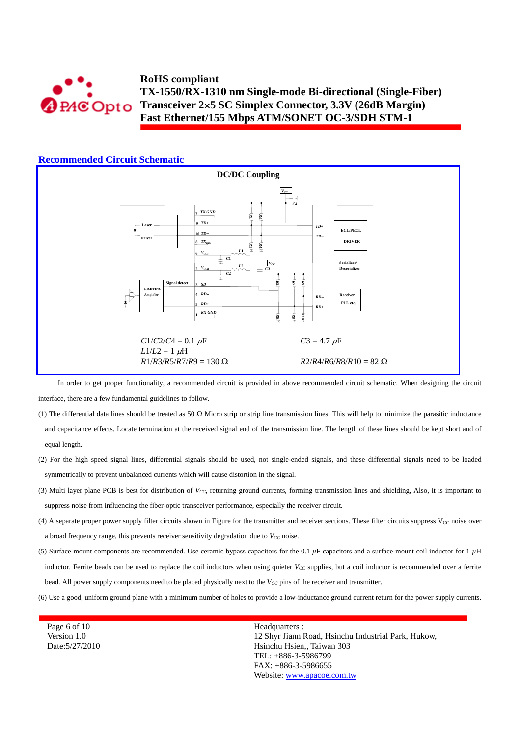

### **Recommended Circuit Schematic**



In order to get proper functionality, a recommended circuit is provided in above recommended circuit schematic. When designing the circuit interface, there are a few fundamental guidelines to follow.

- (1) The differential data lines should be treated as 50  $\Omega$  Micro strip or strip line transmission lines. This will help to minimize the parasitic inductance and capacitance effects. Locate termination at the received signal end of the transmission line. The length of these lines should be kept short and of equal length.
- (2) For the high speed signal lines, differential signals should be used, not single-ended signals, and these differential signals need to be loaded symmetrically to prevent unbalanced currents which will cause distortion in the signal.
- (3) Multi layer plane PCB is best for distribution of *V<sub>CC</sub>*, returning ground currents, forming transmission lines and shielding, Also, it is important to suppress noise from influencing the fiber-optic transceiver performance, especially the receiver circuit.
- (4) A separate proper power supply filter circuits shown in Figure for the transmitter and receiver sections. These filter circuits suppress  $V_{CC}$  noise over a broad frequency range, this prevents receiver sensitivity degradation due to  $V_{CC}$  noise.
- (5) Surface-mount components are recommended. Use ceramic bypass capacitors for the 0.1 *µ*F capacitors and a surface-mount coil inductor for 1 *µ*H inductor. Ferrite beads can be used to replace the coil inductors when using quieter  $V_{CC}$  supplies, but a coil inductor is recommended over a ferrite bead. All power supply components need to be placed physically next to the  $V_{CC}$  pins of the receiver and transmitter.
- (6) Use a good, uniform ground plane with a minimum number of holes to provide a low-inductance ground current return for the power supply currents.

FAX: +886-3-5986655 Website: www.apacoe.com.tw

Page 6 of 10 Version 1.0 Date:5/27/2010 Headquarters : 12 Shyr Jiann Road, Hsinchu Industrial Park, Hukow, Hsinchu Hsien,, Taiwan 303 TEL: +886-3-5986799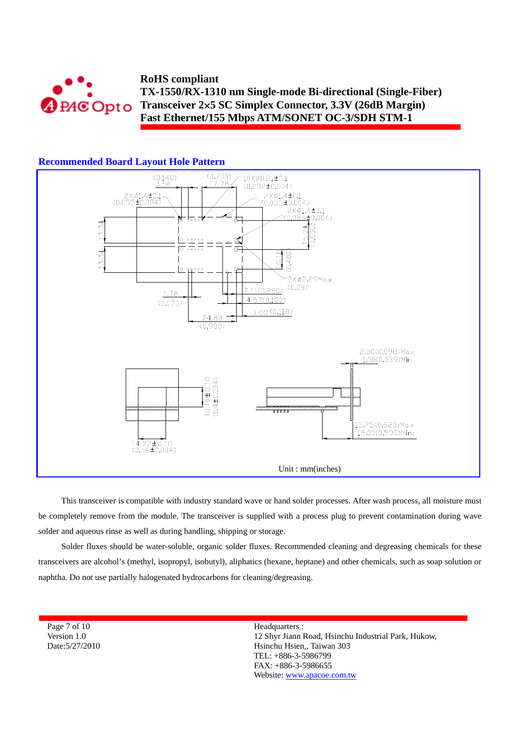



### **Recommended Board Layout Hole Pattern**

 $14.22 \pm 0.10$  $(0.56 \pm 0.004)$ 

This transceiver is compatible with industry standard wave or hand solder processes. After wash process, all moisture must be completely remove from the module. The transceiver is supplied with a process plug to prevent contamination during wave solder and aqueous rinse as well as during handling, shipping or storage.

Unit : mm(inches)

Solder fluxes should be water-soluble, organic solder fluxes. Recommended cleaning and degreasing chemicals for these transceivers are alcohol's (methyl, isopropyl, isobutyl), aliphatics (hexane, heptane) and other chemicals, such as soap solution or naphtha. Do not use partially halogenated hydrocarbons for cleaning/degreasing.

Page 7 of 10 Version 1.0 Date:5/27/2010 Headquarters : 12 Shyr Jiann Road, Hsinchu Industrial Park, Hukow, Hsinchu Hsien,, Taiwan 303 TEL: +886-3-5986799 FAX: +886-3-5986655 Website: www.apacoe.com.tw

15.75(0.620) Max 15.00(0.590)Min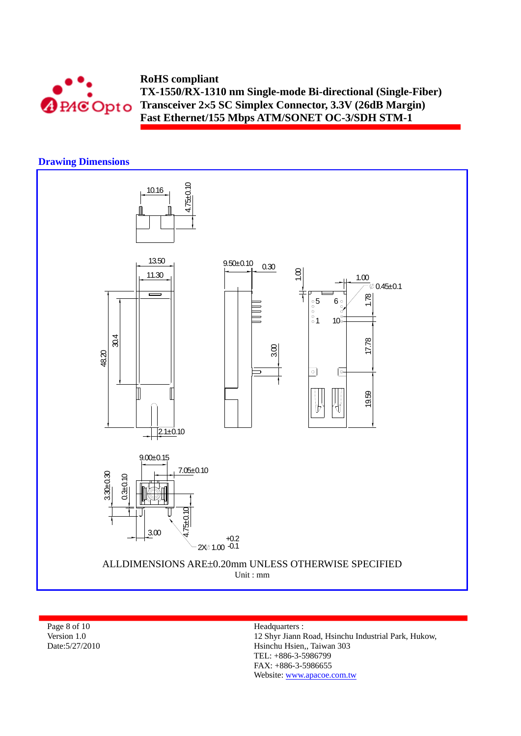

## **Drawing Dimensions**



Page 8 of 10 Version 1.0 Date:5/27/2010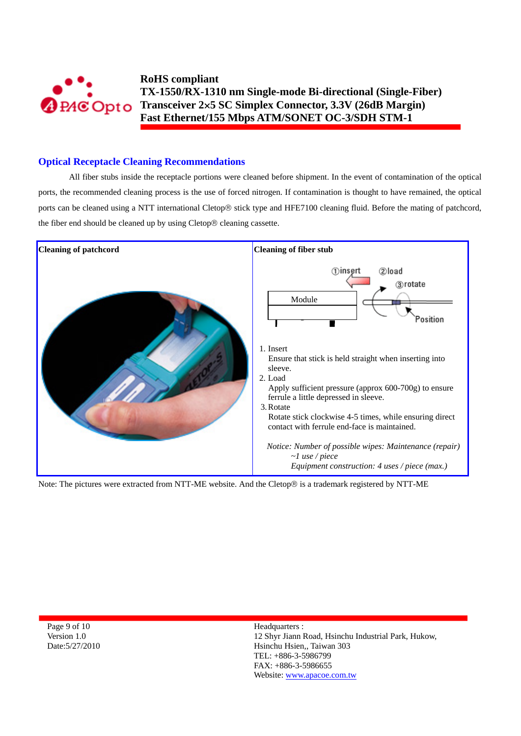

### **Optical Receptacle Cleaning Recommendations**

All fiber stubs inside the receptacle portions were cleaned before shipment. In the event of contamination of the optical ports, the recommended cleaning process is the use of forced nitrogen. If contamination is thought to have remained, the optical ports can be cleaned using a NTT international Cletop® stick type and HFE7100 cleaning fluid. Before the mating of patchcord, the fiber end should be cleaned up by using Cletop® cleaning cassette.



Note: The pictures were extracted from NTT-ME website. And the Cletop® is a trademark registered by NTT-ME

Page 9 of 10 Version 1.0 Date:5/27/2010